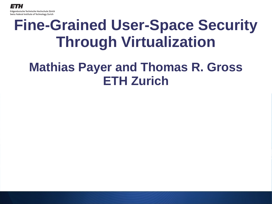# **Fine-Grained User-Space Security Through Virtualization**

#### **Mathias Payer and Thomas R. Gross ETH Zurich**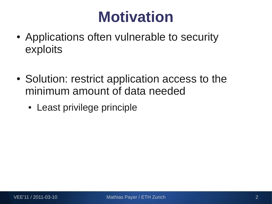### **Motivation**

- Applications often vulnerable to security exploits
- Solution: restrict application access to the minimum amount of data needed
	- Least privilege principle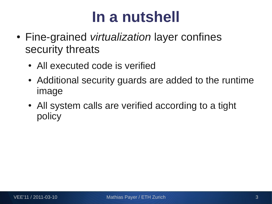### **In a nutshell**

- Fine-grained *virtualization* layer confines security threats
	- All executed code is verified
	- Additional security guards are added to the runtime image
	- All system calls are verified according to a tight policy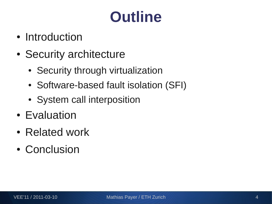# **Outline**

- Introduction
- Security architecture
	- Security through virtualization
	- Software-based fault isolation (SFI)
	- System call interposition
- Evaluation
- Related work
- Conclusion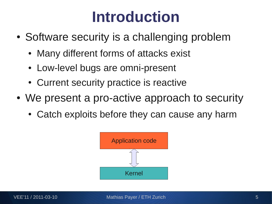### **Introduction**

- Software security is a challenging problem
	- Many different forms of attacks exist
	- Low-level bugs are omni-present
	- Current security practice is reactive
- We present a pro-active approach to security
	- Catch exploits before they can cause any harm

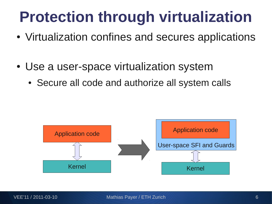# **Protection through virtualization**

- Virtualization confines and secures applications
- Use a user-space virtualization system
	- Secure all code and authorize all system calls

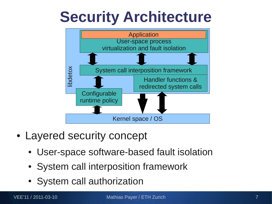### **Security Architecture**



- Layered security concept
	- User-space software-based fault isolation
	- System call interposition framework
	- System call authorization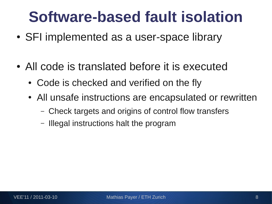### **Software-based fault isolation**

- SFI implemented as a user-space library
- All code is translated before it is executed
	- Code is checked and verified on the fly
	- All unsafe instructions are encapsulated or rewritten
		- Check targets and origins of control flow transfers
		- Illegal instructions halt the program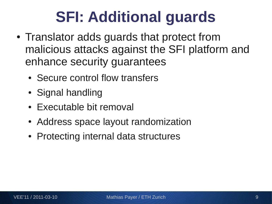# **SFI: Additional guards**

- Translator adds guards that protect from malicious attacks against the SFI platform and enhance security guarantees
	- Secure control flow transfers
	- Signal handling
	- Executable bit removal
	- Address space layout randomization
	- Protecting internal data structures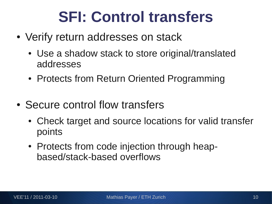### **SFI: Control transfers**

- Verify return addresses on stack
	- Use a shadow stack to store original/translated addresses
	- Protects from Return Oriented Programming
- Secure control flow transfers
	- Check target and source locations for valid transfer points
	- Protects from code injection through heapbased/stack-based overflows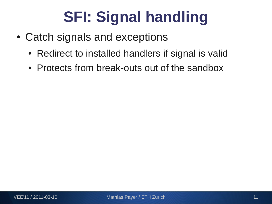# **SFI: Signal handling**

- Catch signals and exceptions
	- Redirect to installed handlers if signal is valid
	- Protects from break-outs out of the sandbox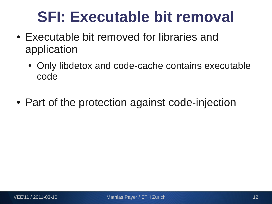### **SFI: Executable bit removal**

- Executable bit removed for libraries and application
	- Only libdetox and code-cache contains executable code
- Part of the protection against code-injection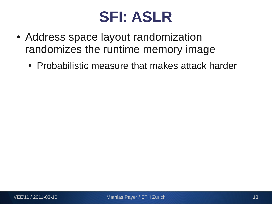#### **SFI: ASLR**

- Address space layout randomization randomizes the runtime memory image
	- Probabilistic measure that makes attack harder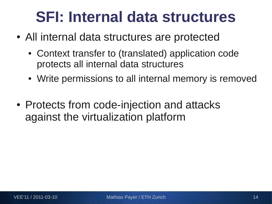### **SFI: Internal data structures**

- All internal data structures are protected
	- Context transfer to (translated) application code protects all internal data structures
	- Write permissions to all internal memory is removed
- Protects from code-injection and attacks against the virtualization platform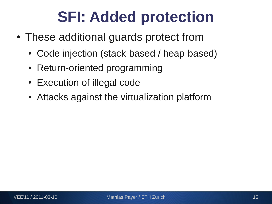### **SFI: Added protection**

- These additional guards protect from
	- Code injection (stack-based / heap-based)
	- Return-oriented programming
	- Execution of illegal code
	- Attacks against the virtualization platform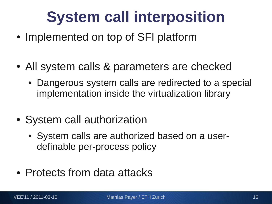# **System call interposition**

- Implemented on top of SFI platform
- All system calls & parameters are checked
	- Dangerous system calls are redirected to a special implementation inside the virtualization library
- System call authorization
	- System calls are authorized based on a userdefinable per-process policy
- Protects from data attacks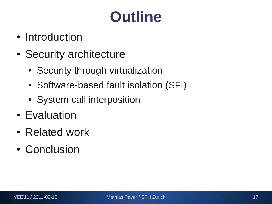# **Outline**

- Introduction
- Security architecture
	- Security through virtualization
	- Software-based fault isolation (SFI)
	- System call interposition
- Evaluation
- Related work
- Conclusion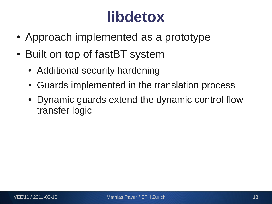### **libdetox**

- Approach implemented as a prototype
- Built on top of fastBT system
	- Additional security hardening
	- Guards implemented in the translation process
	- Dynamic guards extend the dynamic control flow transfer logic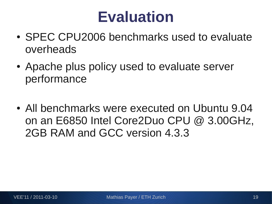### **Evaluation**

- SPEC CPU2006 benchmarks used to evaluate overheads
- Apache plus policy used to evaluate server performance
- All benchmarks were executed on Ubuntu 9.04 on an E6850 Intel Core2Duo CPU @ 3.00GHz, 2GB RAM and GCC version 4.3.3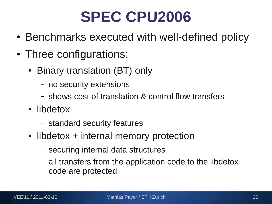### **SPEC CPU2006**

- Benchmarks executed with well-defined policy
- Three configurations:
	- Binary translation (BT) only
		- no security extensions
		- shows cost of translation & control flow transfers
	- libdetox
		- standard security features
	- libdetox + internal memory protection
		- securing internal data structures
		- all transfers from the application code to the libdetox code are protected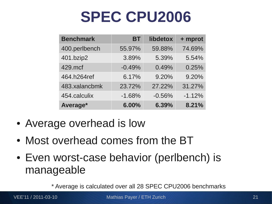### **SPEC CPU2006**

| <b>Benchmark</b> | <b>BT</b> | libdetox | + mprot  |
|------------------|-----------|----------|----------|
| 400.perlbench    | 55.97%    | 59.88%   | 74.69%   |
| 401.bzip2        | 3.89%     | 5.39%    | 5.54%    |
| 429.mcf          | $-0.49%$  | 0.49%    | 0.25%    |
| 464.h264ref      | 6.17%     | 9.20%    | 9.20%    |
| 483.xalancbmk    | 23.72%    | 27.22%   | 31.27%   |
| 454.calculix     | $-1.68%$  | $-0.56%$ | $-1.12%$ |
| Average*         | 6.00%     | 6.39%    | 8.21%    |

- Average overhead is low
- Most overhead comes from the BT
- Even worst-case behavior (perlbench) is manageable

\* Average is calculated over all 28 SPEC CPU2006 benchmarks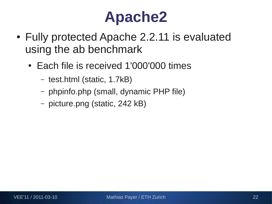### **Apache2**

- Fully protected Apache 2.2.11 is evaluated using the ab benchmark
	- Each file is received 1'000'000 times
		- test.html (static, 1.7kB)
		- phpinfo.php (small, dynamic PHP file)
		- picture.png (static, 242 kB)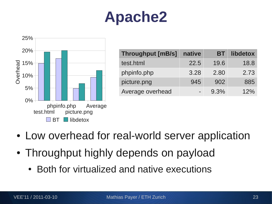# **Apache2**



| <b>Throughput [mB/s]</b> | native   | BТ      | libdetox |
|--------------------------|----------|---------|----------|
| test.html                | 22.5     | 19.6    | 18.8     |
| phpinfo.php              | 3.28     | 2.80    | 2.73     |
| picture.png              | 945      | 902     | 885      |
| Average overhead         | $\equiv$ | $9.3\%$ | 12%      |

- Low overhead for real-world server application
- Throughput highly depends on payload
	- Both for virtualized and native executions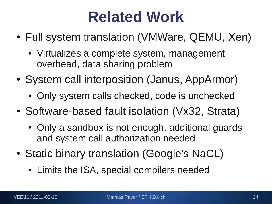### **Related Work**

- Full system translation (VMWare, QEMU, Xen)
	- Virtualizes a complete system, management overhead, data sharing problem
- System call interposition (Janus, AppArmor)
	- Only system calls checked, code is unchecked
- Software-based fault isolation (Vx32, Strata)
	- Only a sandbox is not enough, additional guards and system call authorization needed
- Static binary translation (Google's NaCL)
	- Limits the ISA, special compilers needed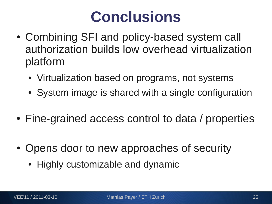### **Conclusions**

- Combining SFI and policy-based system call authorization builds low overhead virtualization platform
	- Virtualization based on programs, not systems
	- System image is shared with a single configuration
- Fine-grained access control to data / properties
- Opens door to new approaches of security
	- Highly customizable and dynamic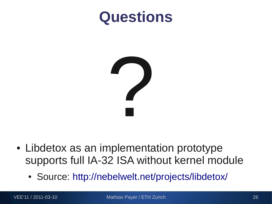#### **Questions**



- Libdetox as an implementation prototype supports full IA-32 ISA without kernel module
	- Source: <http://nebelwelt.net/projects/libdetox/>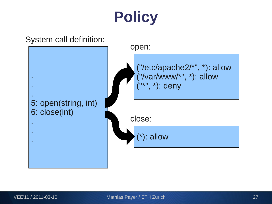# **Policy**

System call definition:

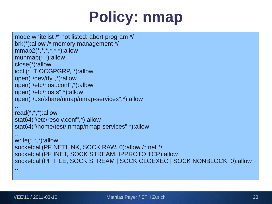# **Policy: nmap**

```
mode:whitelist /* not listed: abort program */
brk(*):allow /* memory management */
mmap2(*,*,*,*,*,*):allow
munmap(*,*):allow
close(*):allow
ioctl(*, TIOCGPGRP, *):allow
open("/dev/tty",*):allow
open("/etc/host.conf",*):allow
open("/etc/hosts",*):allow
open("/usr/share/nmap/nmap-services",*):allow
...
read(*,*,*):allow
stat64("/etc/resolv.conf",*):allow
stat64("/home/test/.nmap/nmap-services",*):allow
...
write(*,*,*):allow
socketcall(PF NETLINK, SOCK RAW, 0):allow /* net */
socketcall(PF INET, SOCK STREAM, IPPROTO TCP):allow
socketcall(PF FILE, SOCK STREAM | SOCK CLOEXEC | SOCK NONBLOCK, 0):allow
...
```